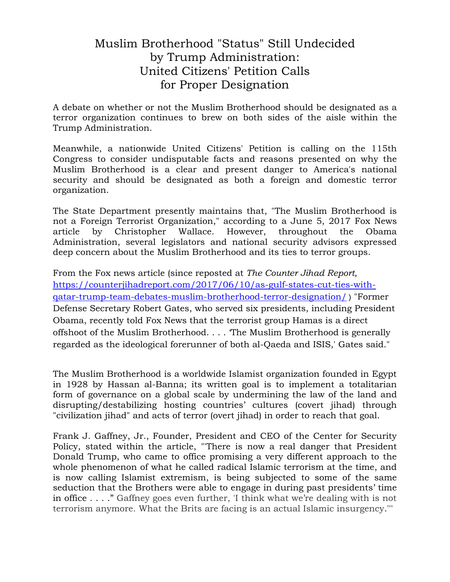# Muslim Brotherhood "Status" Still Undecided by Trump Administration: United Citizens' Petition Calls for Proper Designation

A debate on whether or not the Muslim Brotherhood should be designated as a terror organization continues to brew on both sides of the aisle within the Trump Administration.

Meanwhile, a nationwide United Citizens' Petition is calling on the 115th Congress to consider undisputable facts and reasons presented on why the Muslim Brotherhood is a clear and present danger to America's national security and should be designated as both a foreign and domestic terror organization.

The State Department presently maintains that, "The Muslim Brotherhood is not a Foreign Terrorist Organization," according to a June 5, 2017 Fox News article by Christopher Wallace. However, throughout the Obama Administration, several legislators and national security advisors expressed deep concern about the Muslim Brotherhood and its ties to terror groups.

From the Fox news article (since reposted at *The Counter Jihad Report,*  [https://counterjihadreport.com/2017/06/10/as-gulf-states-cut-ties-with](https://counterjihadreport.com/2017/06/10/as-gulf-states-cut-ties-with-qatar-trump-team-debates-muslim-brotherhood-terror-designation/)[qatar-trump-team-debates-muslim-brotherhood-terror-designation/](https://counterjihadreport.com/2017/06/10/as-gulf-states-cut-ties-with-qatar-trump-team-debates-muslim-brotherhood-terror-designation/) ) "Former Defense Secretary Robert Gates, who served six presidents, including President Obama, recently told Fox News that the terrorist group Hamas is a direct offshoot of the Muslim Brotherhood. . . . 'The Muslim Brotherhood is generally regarded as the ideological forerunner of both al-Qaeda and ISIS,' Gates said."

The Muslim Brotherhood is a worldwide Islamist organization founded in Egypt in 1928 by Hassan al-Banna; its written goal is to implement a totalitarian form of governance on a global scale by undermining the law of the land and disrupting/destabilizing hosting countries' cultures (covert jihad) through "civilization jihad" and acts of terror (overt jihad) in order to reach that goal.

Frank J. Gaffney, Jr., Founder, President and CEO of the Center for Security Policy, stated within the article, "'There is now a real danger that President Donald Trump, who came to office promising a very different approach to the whole phenomenon of what he called radical Islamic terrorism at the time, and is now calling Islamist extremism, is being subjected to some of the same seduction that the Brothers were able to engage in during past presidents' time in office . . . ." Gaffney goes even further, 'I think what we're dealing with is not terrorism anymore. What the Brits are facing is an actual Islamic insurgency.'''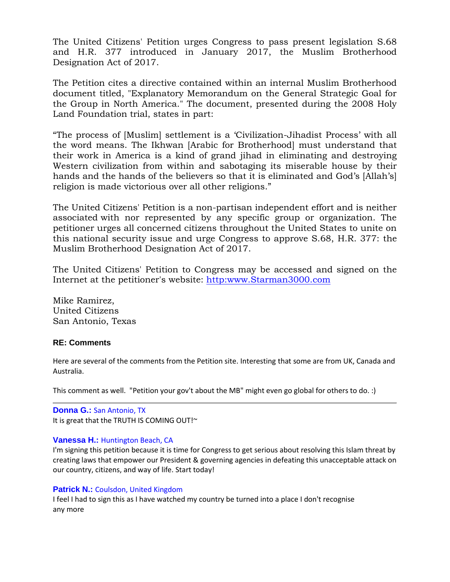The United Citizens' Petition urges Congress to pass present legislation S.68 and H.R. 377 introduced in January 2017, the Muslim Brotherhood Designation Act of 2017.

The Petition cites a directive contained within an internal Muslim Brotherhood document titled, "Explanatory Memorandum on the General Strategic Goal for the Group in North America." The document, presented during the 2008 Holy Land Foundation trial, states in part:

"The process of [Muslim] settlement is a 'Civilization-Jihadist Process' with all the word means. The Ikhwan [Arabic for Brotherhood] must understand that their work in America is a kind of grand jihad in eliminating and destroying Western civilization from within and sabotaging its miserable house by their hands and the hands of the believers so that it is eliminated and God's [Allah's] religion is made victorious over all other religions."

The United Citizens' Petition is a non-partisan independent effort and is neither associated with nor represented by any specific group or organization. The petitioner urges all concerned citizens throughout the United States to unite on this national security issue and urge Congress to approve S.68, H.R. 377: the Muslim Brotherhood Designation Act of 2017.

The United Citizens' Petition to Congress may be accessed and signed on the Internet at the petitioner's website: [http:www.Starman3000.com](http://www.starman3000.com/)

Mike Ramirez, United Citizens San Antonio, Texas

# **RE: Comments**

Here are several of the comments from the Petition site. Interesting that some are from UK, Canada and Australia.

This comment as well. "Petition your gov't about the MB" might even go global for others to do. :)

**Donna G.:** San Antonio, TX It is great that the TRUTH IS COMING OUT!~

# **Vanessa H.:** Huntington Beach, CA

I'm signing this petition because it is time for Congress to get serious about resolving this Islam threat by creating laws that empower our President & governing agencies in defeating this unacceptable attack on our country, citizens, and way of life. Start today!

# **Patrick N.: Coulsdon, United Kingdom**

I feel I had to sign this as I have watched my country be turned into a place I don't recognise any more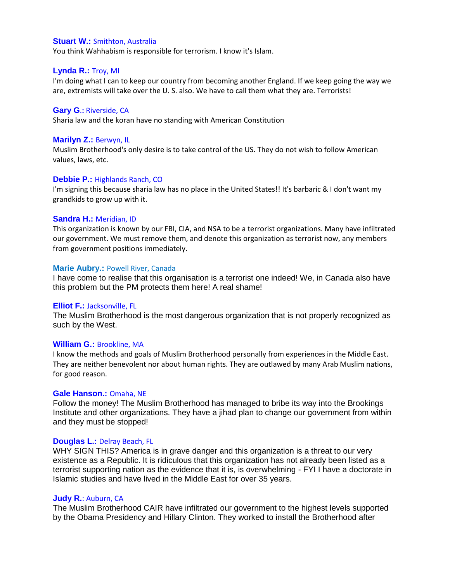# **Stuart W.:** Smithton, Australia

You think Wahhabism is responsible for terrorism. I know it's Islam.

## **Lynda R.:** Troy, MI

I'm doing what I can to keep our country from becoming another England. If we keep going the way we are, extremists will take over the U. S. also. We have to call them what they are. Terrorists!

#### **Gary G**.**:** Riverside, CA

Sharia law and the koran have no standing with American Constitution

### **Marilyn Z.:** Berwyn, IL

Muslim Brotherhood's only desire is to take control of the US. They do not wish to follow American values, laws, etc.

#### **Debbie P.:** Highlands Ranch, CO

I'm signing this because sharia law has no place in the United States!! It's barbaric & I don't want my grandkids to grow up with it.

#### **Sandra H.:** Meridian, ID

This organization is known by our FBI, CIA, and NSA to be a terrorist organizations. Many have infiltrated our government. We must remove them, and denote this organization as terrorist now, any members from government positions immediately.

#### **Marie Aubry.: Powell River, Canada**

I have come to realise that this organisation is a terrorist one indeed! We, in Canada also have this problem but the PM protects them here! A real shame!

#### **Elliot F.:** Jacksonville, FL

The Muslim Brotherhood is the most dangerous organization that is not properly recognized as such by the West.

#### **William G.:** Brookline, MA

I know the methods and goals of Muslim Brotherhood personally from experiences in the Middle East. They are neither benevolent nor about human rights. They are outlawed by many Arab Muslim nations, for good reason.

#### **Gale Hanson.:** Omaha, NE

Follow the money! The Muslim Brotherhood has managed to bribe its way into the Brookings Institute and other organizations. They have a jihad plan to change our government from within and they must be stopped!

#### **Douglas L.:** Delray Beach, FL

WHY SIGN THIS? America is in grave danger and this organization is a threat to our very existence as a Republic. It is ridiculous that this organization has not already been listed as a terrorist supporting nation as the evidence that it is, is overwhelming - FYI I have a doctorate in Islamic studies and have lived in the Middle East for over 35 years.

#### **Judy R.**: Auburn, CA

The Muslim Brotherhood CAIR have infiltrated our government to the highest levels supported by the Obama Presidency and Hillary Clinton. They worked to install the Brotherhood after